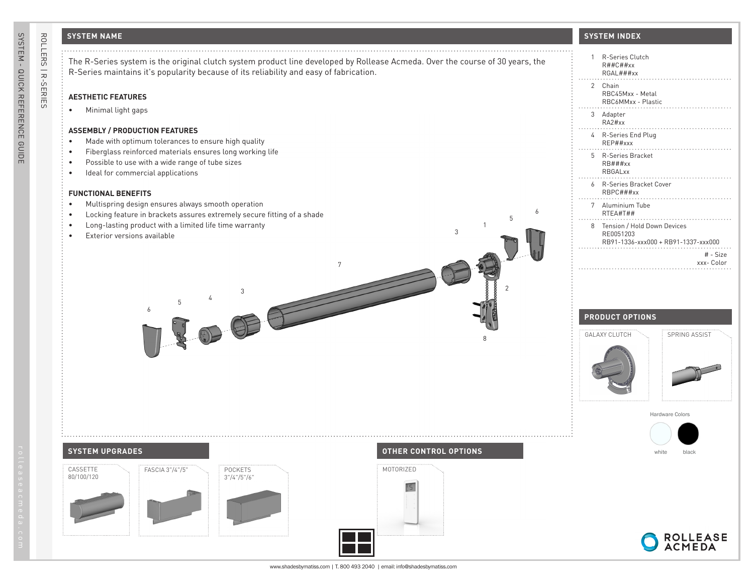## **SYSTEM NAME**

7

### **AESTHETIC FEATURES**

• Minimal light gaps

### **ASSEMBLY / PRODUCTION FEATURES**

- Made with optimum tolerances to ensure high quality
- Fiberglass reinforced materials ensures long working life
- Possible to use with a wide range of tube sizes
- Ideal for commercial applications

### **FUNCTIONAL BENEFITS**

- Multispring design ensures always smooth operation
- Locking feature in brackets assures extremely secure fitting of a shade

3 <sup>4</sup> <sup>5</sup> 6

- Long-lasting product with a limited life time warranty
- Exterior versions available



| 1              | R-Series Clutch<br>R##C##xx<br>RGAL###xx                                        |
|----------------|---------------------------------------------------------------------------------|
| $\overline{2}$ | Chain<br>RBC45Mxx - Metal<br>RBC6MMxx - Plastic                                 |
| 3              | Adapter<br>RA2Hxx                                                               |
| 4              | R-Series End Plug<br>RFP##xxx                                                   |
| 5.             | <b>R-Series Bracket</b><br>$RB$ ###xx<br>RBGALxx                                |
| 6              | R-Series Bracket Cover<br>RBPC#H#xx                                             |
| 7              | Aluminium Tube<br>RTEA#T##                                                      |
| 8              | Tension / Hold Down Devices<br>RE0051203<br>RB91-1336-xxx000 + RB91-1337-xxx000 |
|                | # - Size<br>xxx- Color                                                          |

### **PRODUCT OPTIONS**



Hardware Colors



# **SYSTEM UPGRADES OTHER CONTROL OPTIONS** CASSETTE 80/100/120





1

3

8

2

5

6





ROLLERS | R-SERIES

ROLLERS | R-SERIES